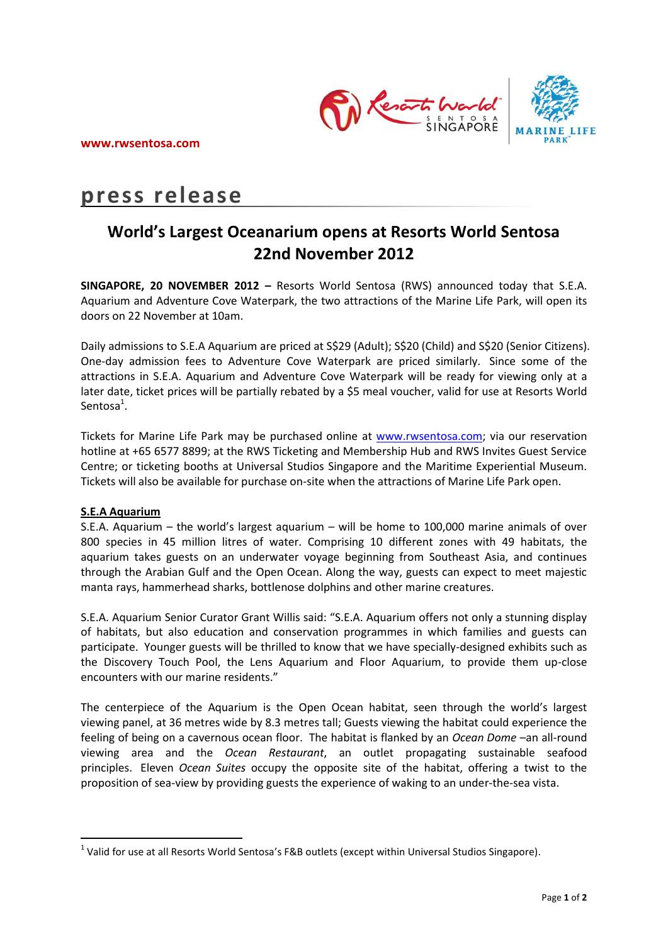

# **press release**

# **World's Largest Oceanarium opens at Resorts World Sentosa 22nd November 2012**

**SINGAPORE, 20 NOVEMBER 2012 –** Resorts World Sentosa (RWS) announced today that S.E.A. Aquarium and Adventure Cove Waterpark, the two attractions of the Marine Life Park, will open its doors on 22 November at 10am.

Daily admissions to S.E.A Aquarium are priced at S\$29 (Adult); S\$20 (Child) and S\$20 (Senior Citizens). One-day admission fees to Adventure Cove Waterpark are priced similarly. Since some of the attractions in S.E.A. Aquarium and Adventure Cove Waterpark will be ready for viewing only at a later date, ticket prices will be partially rebated by a \$5 meal voucher, valid for use at Resorts World Sentosa<sup>1</sup>.

Tickets for Marine Life Park may be purchased online at [www.rwsentosa.com;](http://www.rwsentosa.com/) via our reservation hotline at +65 6577 8899; at the RWS Ticketing and Membership Hub and RWS Invites Guest Service Centre; or ticketing booths at Universal Studios Singapore and the Maritime Experiential Museum. Tickets will also be available for purchase on-site when the attractions of Marine Life Park open.

## **S.E.A Aquarium**

 $\overline{a}$ 

S.E.A. Aquarium – the world's largest aquarium – will be home to 100,000 marine animals of over 800 species in 45 million litres of water. Comprising 10 different zones with 49 habitats, the aquarium takes guests on an underwater voyage beginning from Southeast Asia, and continues through the Arabian Gulf and the Open Ocean. Along the way, guests can expect to meet majestic manta rays, hammerhead sharks, bottlenose dolphins and other marine creatures.

S.E.A. Aquarium Senior Curator Grant Willis said: "S.E.A. Aquarium offers not only a stunning display of habitats, but also education and conservation programmes in which families and guests can participate. Younger guests will be thrilled to know that we have specially-designed exhibits such as the Discovery Touch Pool, the Lens Aquarium and Floor Aquarium, to provide them up-close encounters with our marine residents."

The centerpiece of the Aquarium is the Open Ocean habitat, seen through the world's largest viewing panel, at 36 metres wide by 8.3 metres tall; Guests viewing the habitat could experience the feeling of being on a cavernous ocean floor. The habitat is flanked by an *Ocean Dome* –an all-round viewing area and the *Ocean Restaurant*, an outlet propagating sustainable seafood principles. Eleven *Ocean Suites* occupy the opposite site of the habitat, offering a twist to the proposition of sea-view by providing guests the experience of waking to an under-the-sea vista.

<sup>&</sup>lt;sup>1</sup> Valid for use at all Resorts World Sentosa's F&B outlets (except within Universal Studios Singapore).